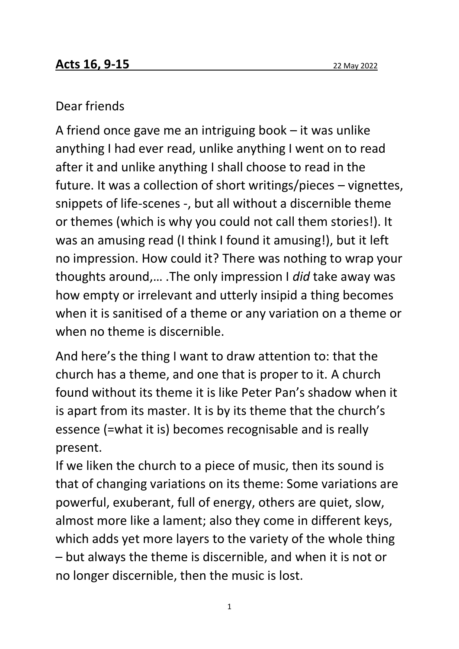## Dear friends

A friend once gave me an intriguing book – it was unlike anything I had ever read, unlike anything I went on to read after it and unlike anything I shall choose to read in the future. It was a collection of short writings/pieces – vignettes, snippets of life-scenes -, but all without a discernible theme or themes (which is why you could not call them stories!). It was an amusing read (I think I found it amusing!), but it left no impression. How could it? There was nothing to wrap your thoughts around,… .The only impression I *did* take away was how empty or irrelevant and utterly insipid a thing becomes when it is sanitised of a theme or any variation on a theme or when no theme is discernible.

And here's the thing I want to draw attention to: that the church has a theme, and one that is proper to it. A church found without its theme it is like Peter Pan's shadow when it is apart from its master. It is by its theme that the church's essence (=what it is) becomes recognisable and is really present.

If we liken the church to a piece of music, then its sound is that of changing variations on its theme: Some variations are powerful, exuberant, full of energy, others are quiet, slow, almost more like a lament; also they come in different keys, which adds yet more layers to the variety of the whole thing – but always the theme is discernible, and when it is not or no longer discernible, then the music is lost.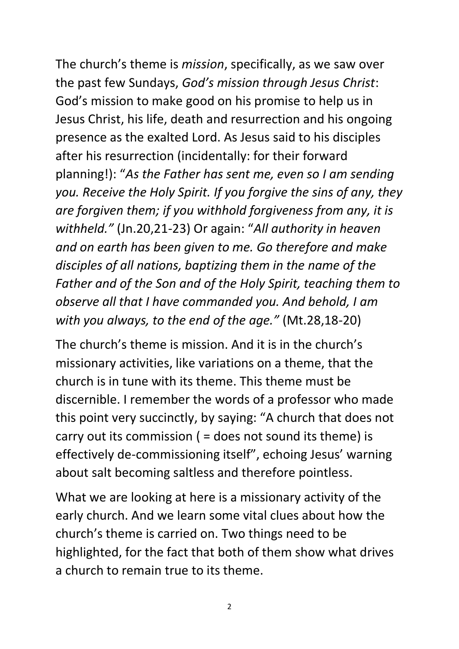The church's theme is *mission*, specifically, as we saw over the past few Sundays, *God's mission through Jesus Christ*: God's mission to make good on his promise to help us in Jesus Christ, his life, death and resurrection and his ongoing presence as the exalted Lord. As Jesus said to his disciples after his resurrection (incidentally: for their forward planning!): "*As the Father has sent me, even so I am sending you. Receive the Holy Spirit. If you forgive the sins of any, they are forgiven them; if you withhold forgiveness from any, it is withheld."* (Jn.20,21-23) Or again: "*All authority in heaven and on earth has been given to me. Go therefore and make disciples of all nations, baptizing them in the name of the Father and of the Son and of the Holy Spirit, teaching them to observe all that I have commanded you. And behold, I am with you always, to the end of the age."* (Mt.28,18-20)

The church's theme is mission. And it is in the church's missionary activities, like variations on a theme, that the church is in tune with its theme. This theme must be discernible. I remember the words of a professor who made this point very succinctly, by saying: "A church that does not carry out its commission ( = does not sound its theme) is effectively de-commissioning itself", echoing Jesus' warning about salt becoming saltless and therefore pointless.

What we are looking at here is a missionary activity of the early church. And we learn some vital clues about how the church's theme is carried on. Two things need to be highlighted, for the fact that both of them show what drives a church to remain true to its theme.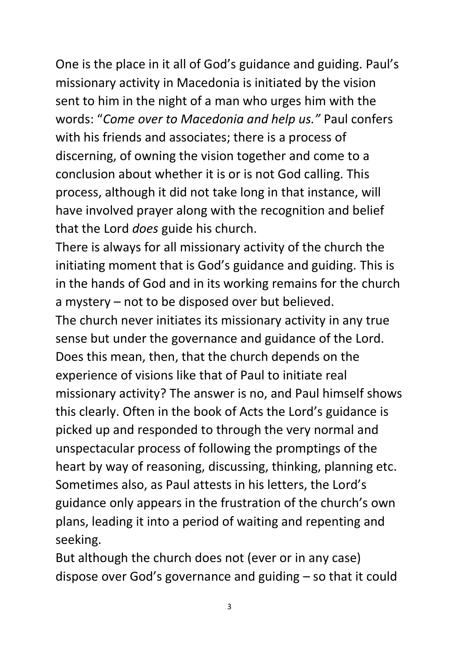One is the place in it all of God's guidance and guiding. Paul's missionary activity in Macedonia is initiated by the vision sent to him in the night of a man who urges him with the words: "*Come over to Macedonia and help us."* Paul confers with his friends and associates; there is a process of discerning, of owning the vision together and come to a conclusion about whether it is or is not God calling. This process, although it did not take long in that instance, will have involved prayer along with the recognition and belief that the Lord *does* guide his church.

There is always for all missionary activity of the church the initiating moment that is God's guidance and guiding. This is in the hands of God and in its working remains for the church a mystery – not to be disposed over but believed. The church never initiates its missionary activity in any true sense but under the governance and guidance of the Lord. Does this mean, then, that the church depends on the experience of visions like that of Paul to initiate real missionary activity? The answer is no, and Paul himself shows

this clearly. Often in the book of Acts the Lord's guidance is picked up and responded to through the very normal and unspectacular process of following the promptings of the heart by way of reasoning, discussing, thinking, planning etc. Sometimes also, as Paul attests in his letters, the Lord's guidance only appears in the frustration of the church's own plans, leading it into a period of waiting and repenting and seeking.

But although the church does not (ever or in any case) dispose over God's governance and guiding – so that it could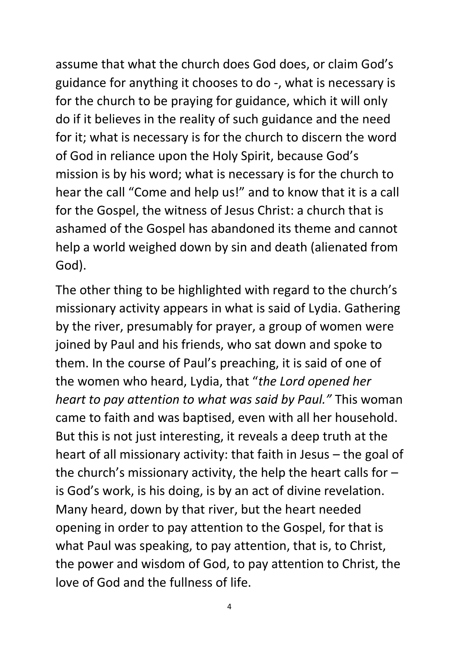assume that what the church does God does, or claim God's guidance for anything it chooses to do -, what is necessary is for the church to be praying for guidance, which it will only do if it believes in the reality of such guidance and the need for it; what is necessary is for the church to discern the word of God in reliance upon the Holy Spirit, because God's mission is by his word; what is necessary is for the church to hear the call "Come and help us!" and to know that it is a call for the Gospel, the witness of Jesus Christ: a church that is ashamed of the Gospel has abandoned its theme and cannot help a world weighed down by sin and death (alienated from God).

The other thing to be highlighted with regard to the church's missionary activity appears in what is said of Lydia. Gathering by the river, presumably for prayer, a group of women were joined by Paul and his friends, who sat down and spoke to them. In the course of Paul's preaching, it is said of one of the women who heard, Lydia, that "*the Lord opened her heart to pay attention to what was said by Paul."* This woman came to faith and was baptised, even with all her household. But this is not just interesting, it reveals a deep truth at the heart of all missionary activity: that faith in Jesus – the goal of the church's missionary activity, the help the heart calls for  $$ is God's work, is his doing, is by an act of divine revelation. Many heard, down by that river, but the heart needed opening in order to pay attention to the Gospel, for that is what Paul was speaking, to pay attention, that is, to Christ, the power and wisdom of God, to pay attention to Christ, the love of God and the fullness of life.